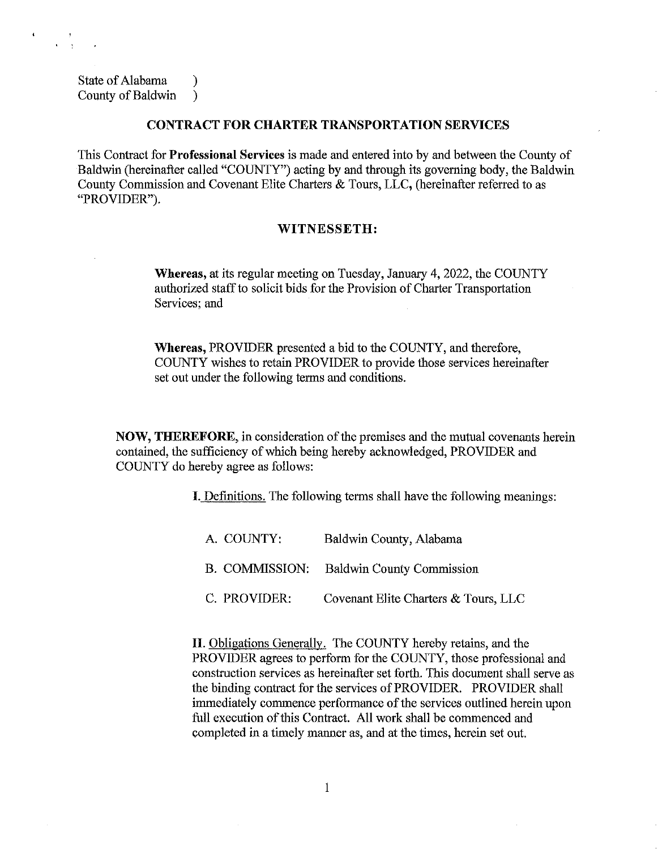State of Alabama (b) County of Baldwin )

### **CONTRACT FOR CHARTER TRANSPORTATION SERVICES**

This Contract for **Professional Services** is made and entered into by and between the County of Baldwin (hereinafter called "COUNTY") acting by and through its governing body, the Baldwin County Commission and Covenant Elite Charters & Tours, LLC, (hereinafter referred to as "PROVIDER").

### **WITNESSETH:**

**Whereas,** at its regular meeting on Tuesday, January 4, 2022, the COUNTY authorized staff to solicit bids for the Provision of Charter Transportation Services; and

**Whereas,** PROVIDER presented a bid to the COUNTY, and therefore, COUNTY wishes to retain PROVIDER to provide those services hereinafter set out under the following terms and conditions.

**NOW, THEREFORE,** in consideration of the premises and the mutual covenants herein contained, the sufficiency of which being hereby acknowledged, PROVIDER and COUNTY do hereby agree as follows:

I. Definitions. The following terms shall have the following meanings:

| A. COUNTY:   | Baldwin County, Alabama                  |
|--------------|------------------------------------------|
|              | B. COMMISSION: Baldwin County Commission |
| C. PROVIDER: | Covenant Elite Charters & Tours, LLC     |

**II.** Obligations Generally. The COUNTY hereby retains, and the PROVIDER agrees to perform for the COUNTY, those professional and construction services as hereinafter set forth. This document shall serve as the binding contract for the services of PROVIDER. PROVIDER shall immediately commence performance of the services outlined herein upon full execution of this Contract. All work shall be commenced and completed in a timely manner as, and at the times, herein set out.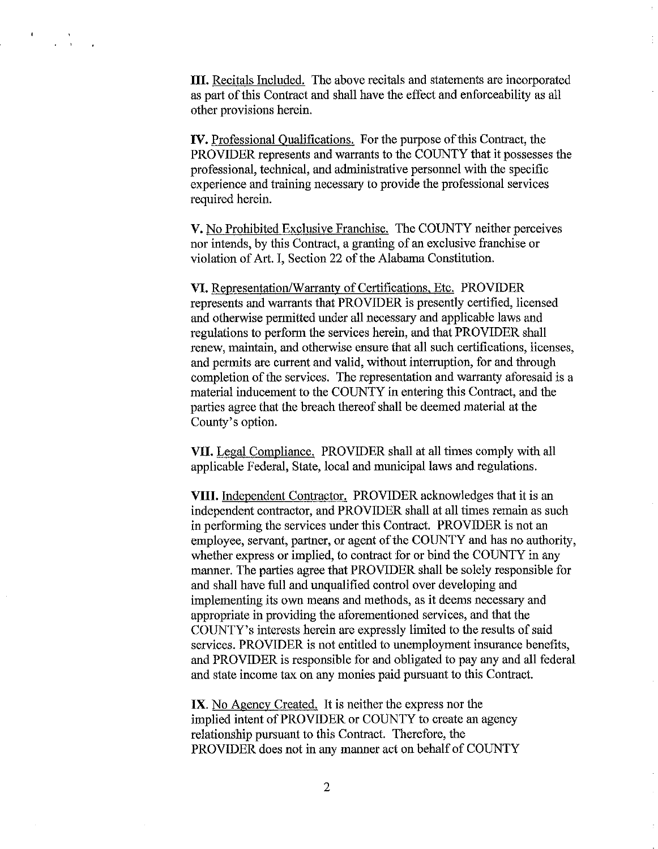**III.** Recitals Included. The above recitals and statements are incorporated as part of this Contract and shall have the effect and enforceability as all other provisions herein.

**IV.** Professional Oualifications. For the purpose of this Contract, the PROVIDER represents and warrants to the COUNTY that it possesses the professional, technical, and administrative personnel with the specific experience and training necessary to provide the professional services required herein.

V. No Prohibited Exclusive Franchise. The COUNTY neither perceives nor intends, by this Contract, a granting of an exclusive franchise or violation of Art. I, Section 22 of the Alabama Constitution.

**VI.** Representation/Warranty of Certifications, Etc. PROVIDER represents and warrants that PROVIDER is presently certified, licensed and otherwise permitted under all necessary and applicable laws and regulations to perform the services herein, and that PROVIDER shall renew, maintain, and otherwise ensure that all such certifications, licenses, and permits are current and valid, without interruption, for and through completion of the services. The representation and warranty aforesaid is a material inducement to the COUNTY in entering this Contract, and the parties agree that the breach thereof shall be deemed material at the County's option.

**VII.** Legal Compliance. PROVIDER shall at all times comply with all applicable Federal, State, local and municipal Jaws and regulations.

**VIII.** Independent Contractor. PROVIDER acknowledges that it is an independent contractor, and PROVIDER shall at all times remain as such in performing the services under this Contract. PROVIDER is not an employee, servant, partner, or agent of the COUNTY and has no authority, whether express or implied, to contract for or bind the COUNTY in any manner. The parties agree that PROVIDER shall be solely responsible for and shall have full and unqualified control over developing and implementing its own means and methods, as it deems necessary and appropriate in providing the aforementioned services, and that the COUNTY's interests herein are expressly limited to the results of said services. PROVIDER is not entitled to unemployment insurance benefits, and PROVIDER is responsible for and obligated to pay any and all federal and state income tax on any monies paid pursuant to this Contract.

**IX.** No Agency Created. It is neither the express nor the implied intent of PROVIDER or COUNTY to create an agency relationship pursuant to this Contract. Therefore, the PROVIDER does not in any manner act on behalf of COUNTY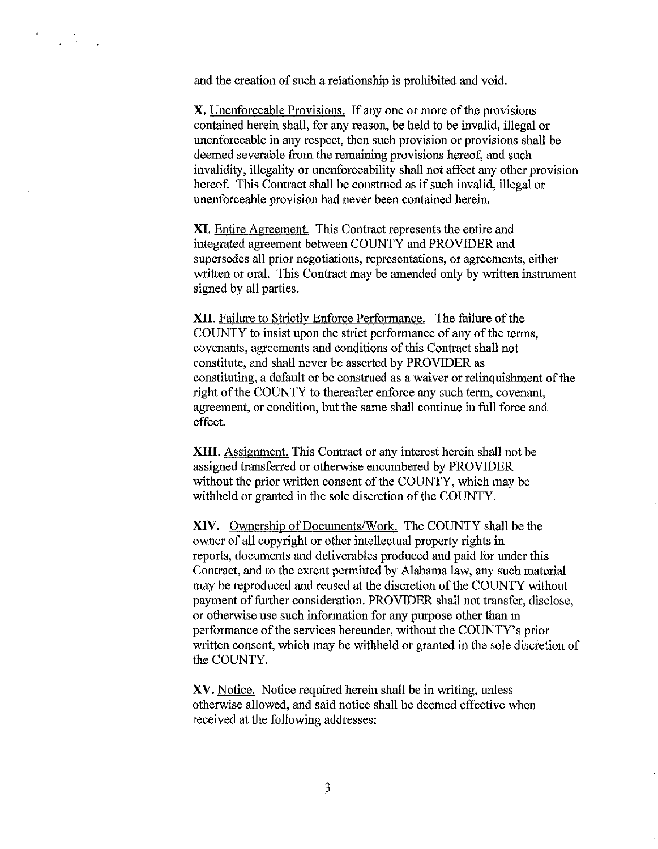and the creation of such a relationship is prohibited and void.

X. Unenforceable Provisions. If any one or more of the provisions contained herein shall, for any reason, be held to be invalid, illegal or unenforceable in any respect, then such provision or provisions shall be deemed severable from the remaining provisions hereof, and such invalidity, illegality or unenforceability shall not affect any other provision hereof. This Contract shall be construed as if such invalid, illegal or unenforceable provision had never been contained herein.

**XI.** Entire Agreement. This Contract represents the entire and integrated agreement between COUNTY and PROVIDER and supersedes all prior negotiations, representations, or agreements, either written or oral. This Contract may be amended only by written instrument signed by all parties.

**XII.** Failure to Strictlv Enforce Performance. The failure of the COUNTY to insist upon the strict performance of any of the terms, covenants, agreements and conditions of this Contract shall not constitute, and shall never be asserted by PROVIDER as constituting, a default or be construed as a waiver or relinquishment of the right of the COUNTY to thereafter enforce any such term, covenant, agreement, or condition, but the same shall continue in full force and effect.

**XIII.** Assignment. This Contract or any interest herein shall not be assigned transferred or otherwise encumbered by PROVIDER without the prior written consent of the COUNTY, which may be withheld or granted in the sole discretion of the COUNTY.

**XIV.** Ownership of Documents/Work. The COUNTY shall be the owner of all copyright or other intellectual property rights in reports, documents and deliverables produced and paid for under this Contract, and to the extent permitted by Alabama law, any such material may be reproduced and reused at the discretion of the COUNTY without payment of further consideration. PROVIDER shall not transfer, disclose, or otherwise use such information for any purpose other than in performance of the services hereunder, without the COUNTY's prior written consent, which may be withheld or granted in the sole discretion of the COUNTY.

XV. Notice. Notice required herein shall be in writing, unless otherwise allowed, and said notice shall be deemed effective when received at the following addresses: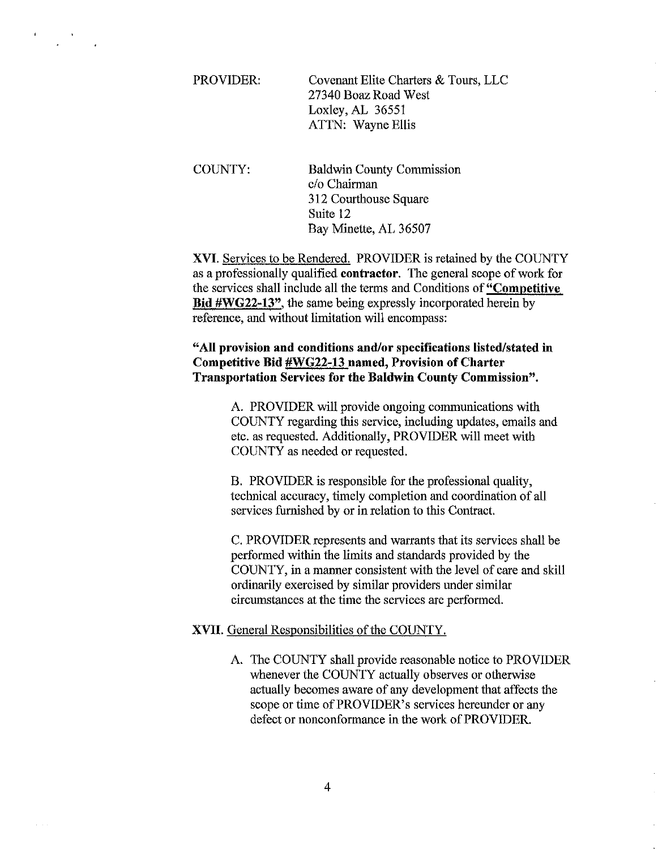PROVIDER: Covenant Elite Charters & Tours, LLC 27340 Boaz Road West Loxley, AL 36551 ATTN: Wayne Ellis

COUNTY: Baldwin County Commission c/o Chairman 312 Courthouse Square Suite 12 Bay Minette, AL 36507

**XVI.** Services to be Rendered. PROVIDER is retained by the COUNTY as a professionally qualified **contractor.** The general scope of work for the services shall include all the terms and Conditions of **"Competitive Bid #WG22-13",** the same being expressly incorporated herein by reference, and without limitation will encompass:

# **"All provision and conditions and/or specifications listed/stated in Competitive Bid #WG22-13 named, Provision of Charter Transportation Services for the Baldwin County Commission".**

A. PROVIDER will provide ongoing communications with COUNTY regarding this service, including updates, emails and etc. as requested. Additionally, PROVIDER will meet with COUNTY as needed or requested.

B. PROVIDER is responsible for the professional quality, technical accuracy, timely completion and coordination of all services furnished by or in relation to this Contract.

C. PROVIDER represents and warrants that its services shall be performed within the limits and standards provided by the COUNTY, in a manner consistent with the level of care and skill ordinarily exercised by similar providers under similar circumstances at the time the services are performed.

### **XVII.** General Responsibilities of the COUNTY.

A. The COUNTY shall provide reasonable notice to PROVIDER whenever the COUNTY actually observes or otherwise actually becomes aware of any development that affects the scope or time of PROVIDER's services hereunder or any defect or nonconformance in the work of PROVIDER.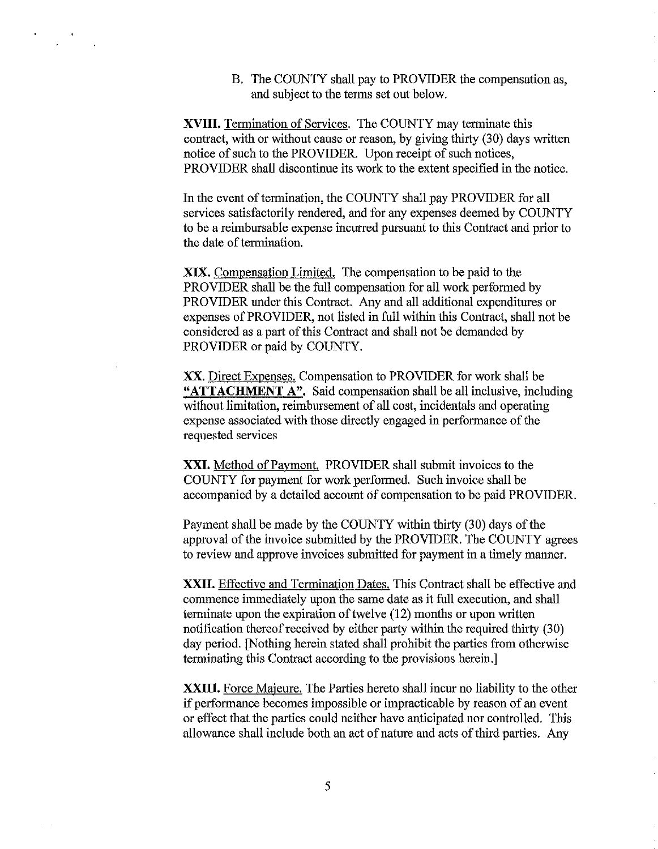B. The COUNTY shall pay to PROVIDER the compensation as, and subject to the terms set out below.

**XVIII.** Termination of Services. The COUNTY may terminate this contract, with or without cause or reason, by giving thirty (30) days written notice of such to the PROVIDER. Upon receipt of such notices, PROVIDER shall discontinue its work to the extent specified in the notice.

In the event of termination, the COUNTY shall pay PROVIDER for all services satisfactorily rendered, and for any expenses deemed by COUNTY to be a reimbursable expense incurred pursuant to this Contract and prior to the date of terrnination.

**XIX.** Compensation Limited. The compensation to be paid to the PROVIDER shall be the full compensation for all work performed by PROVIDER under this Contract. Any and all additional expenditures or expenses of PROVIDER, not listed in full within this Contract, shall not be considered as a part of this Contract and shall not be demanded by PROVIDER or paid by COUNTY.

XX. Direct Expenses. Compensation to PROVIDER for work shall be **"ATTACHMENT A".** Said compensation shall be all inclusive, including without limitation, reimbursement of all cost, incidentals and operating expense associated with those directly engaged in performance of the requested services

**XXI.** Method of Payment. PROVIDER shall submit invoices to the COUNTY for payment for work performed. Such invoice shall be accompanied by a detailed account of compensation to be paid PROVIDER.

Payment shall be made by the COUNTY within thirty (30) days of the approval of the invoice submitted by the PROVIDER. The COUNTY agrees to review and approve invoices submitted for payment in a timely manner.

**XXII.** Effective and Termination Dates. This Contract shall be effective and commence immediately upon the same date as it full execution, and shall terminate upon the expiration of twelve (12) months or upon written notification thereof received by either party within the required thirty (30) day period. [Nothing herein stated shall prohibit the parties from otherwise terminating this Contract according to the provisions herein.]

**XXIII.** Force Majeure. The Parties hereto shall incur no liability to the other if performance becomes impossible or impracticable by reason of an event or effect that the parties could neither have anticipated nor controlled. This allowance shall include both an act of nature and acts of third parties. Any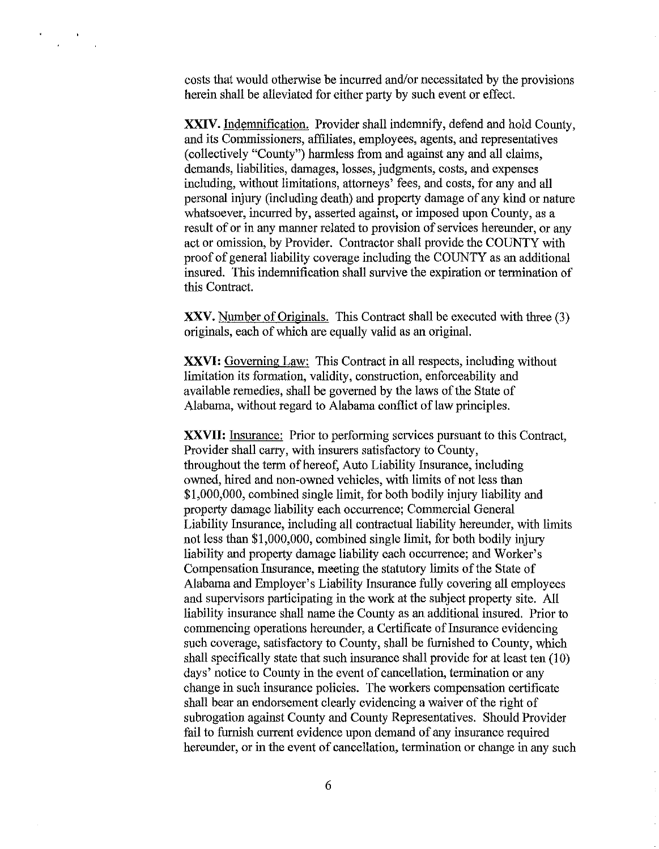costs that would otherwise be incurred and/or necessitated by the provisions herein shall be alleviated for either party by such event or effect.

**XXIV.** Indemnification. Provider shall indemnify, defend and hold County, and its Commissioners, affiliates, employees, agents, and representatives (collectively "County") harmless from and against any and all claims, demands, liabilities, damages, losses, judgments, costs, and expenses including, without limitations, attorneys' fees, and costs, for any and all personal injury (including death) and property damage of any kind or nature whatsoever, incurred by, asserted against, or imposed upon County, as a result of or in any manner related to provision of services hereunder, or any act or omission, by Provider. Contractor shall provide the COUNTY with proof of general liability coverage including the COUNTY as an additional insured. This indemnification shall survive the expiration or termination of this Contract.

**XXV.** Number of Originals. This Contract shall be executed with three (3) originals, each of which are equally valid as an original.

**XXVI:** Governing Law: This Contract in all respects, including without limitation its formation, validity, construction, enforceability and available remedies, shall be governed by the laws of the State of Alabama, without regard to Alabama conflict of law principles.

**XXVII:** Insurance: Prior to performing services pursuant to this Contract, Provider shall carry, with insurers satisfactory to County, throughout the term of hereof, Auto Liability Insurance, including owned, hired and non-owned vehicles, with limits of not less than \$1,000,000, combined single limit, for both bodily injury liability and property damage liability each occurrence; Commercial General Liability Insurance, including all contractual liability hereunder, with limits not less than \$1,000,000, combined single limit, for both bodily injury liability and property damage liability each occurrence; and Worker's Compensation Insurance, meeting the statutory limits of the State of Alabama and Employer's Liability Insurance fully covering all employees and supervisors participating in the work at the subject property site. All liability insurance shall name the County as an additional insured. Prior to commencing operations hereunder, a Certificate of Insurance evidencing such coverage, satisfactory to County, shall be furnished to County, which shall specifically state that such insurance shall provide for at least ten  $(10)$ days' notice to County in the event of cancellation, termination or any change in such insurance policies. The workers compensation certificate shall bear an endorsement clearly evidencing a waiver of the right of subrogation against County and County Representatives. Should Provider fail to furnish current evidence upon demand of any insurance required hereunder, or in the event of cancellation, termination or change in any such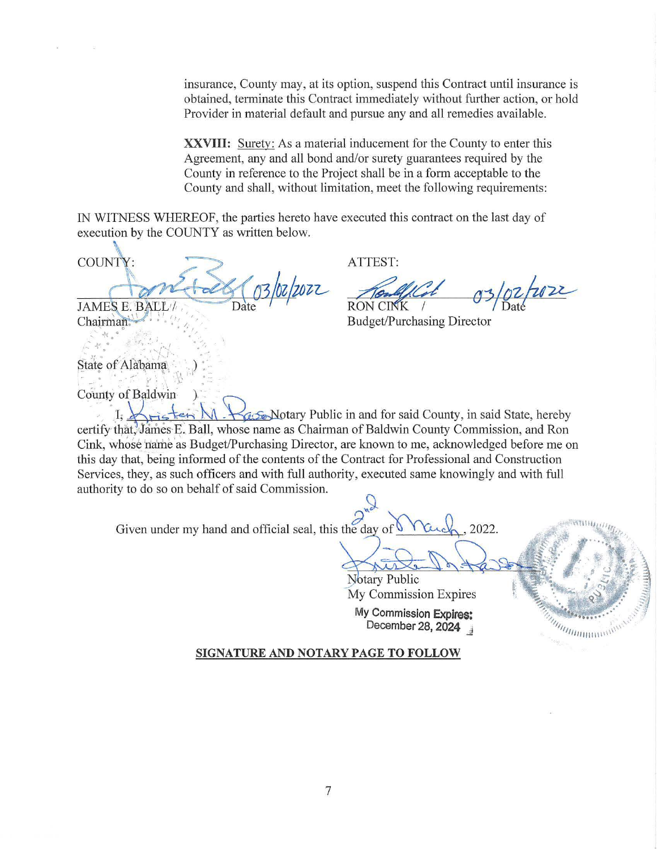insurance, County may, at its option, suspend this Contract until insurance is obtained, terminate this Contract immediately without further action, or hold Provider in material default and pursue any and all remedies available.

**XXVIII:** Surety: As a material inducement for the County to enter this Agreement, any and all bond and/or surety guarantees required by the County in reference to the Project shall be in a form acceptable to the County and shall, without limitation, meet the following requirements:

IN WITNESS WHEREOF, the parties hereto have executed this contract on the last day of execution by the COUNTY as written below.

COUNTY: **JAMES E. BALL** Chairman<sup>3</sup>

ATTEST:

 $\sqrt{2}$ 

Budget/Purchasing Director

.... **-'i" o o** ....... '" ,-. I  $\text{State of Alabama}$  ...

 $\mathcal{L}^{\mathcal{A}}$  , and  $\mathcal{L}^{\mathcal{A}}$  , and  $\mathcal{L}^{\mathcal{A}}$  , and  $\mathcal{L}^{\mathcal{A}}$ 

 $2.4 - 9$ 

- '°:.'. \_. ' .•.. .--· **'t** ': \ .~' <sup>I</sup>.: - County of Baldwin

**C**<sub>c</sub> Se</sub> Notary Public in and for said County, in said State, hereby certify that, James E. Ball, whose name as Chairman of Baldwin County Commission, and Ron Cink, whose name as Budget/Purchasing Director, are known to me, acknowledged before me on this day that, being informed of the contents of the Contract for Professional and Construction Services, they, as such officers and with full authority, executed same knowingly and with full authority to do so on behalf of said Commission.

Given under my hand and official seal, this the day of  $\bigcap_{\alpha\in\mathbb{N}}^{n}$ , 2022.

**Notary Public** 

My Commission Expires

**My Commission Expires: December28,2024** j

*Mammmmm* 

# **SIGNATURE AND NOTARY PAGE TO FOLLOW**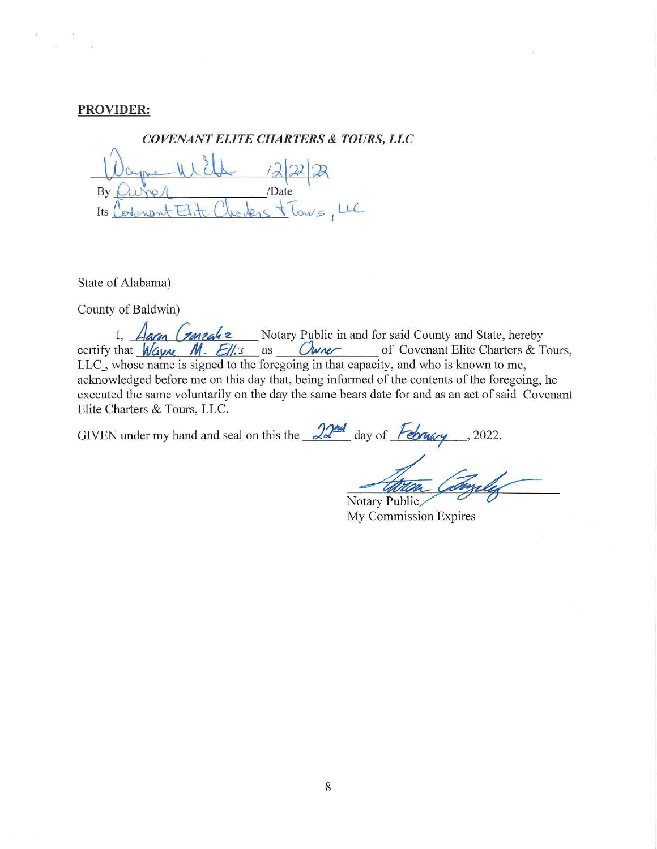### **PROVIDER:**

*COVENANT ELITE CHARTERS* **&** *TOURS, LLC*   $\frac{1}{2}$ By <u>Ourel</u> Date<br>Its Covenant Elite Cherless + Tows, LLC  $Its  $Levenant$   $El$$ 

State of Alabama)

County of Baldwin)

I, *Aaron Croneale z...* Notary Public in and for said County and State, hereby certify that *Wayne M. Ell:s* as *Cwner* of Covenant Elite Charters & Tours, LLC, whose name is signed to the foregoing in that capacity, and who is known to me, acknowledged before me on this day that, being informed of the contents of the foregoing, he executed the same voluntarily on the day the same bears date for and as an act of said Covenant Elite Charters & Tours, LLC. where the contents of the foregoing, he<br>head of the contents of the foregoing, he<br>rs date for and as an act of said Covenant<br>day of *February* 3022.<br>Alternative public<br>otary Public<br>(y Commission Expires

GIVEN under my hand and seal on this the  $\frac{22^{nd}}{4}$  day of February , 2022.

**My Commission Expires**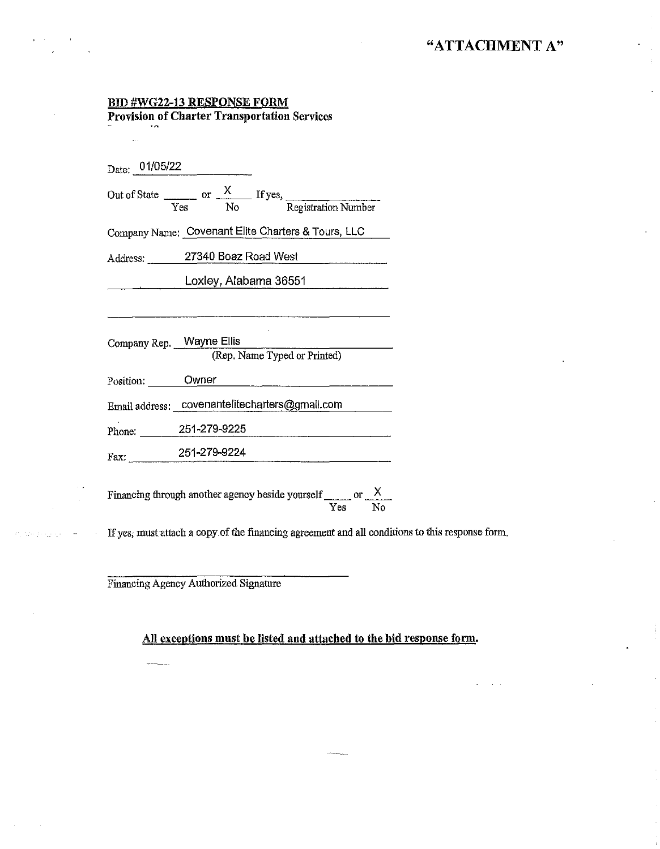# **BID #WG22-13 RESPONSE FORM Provision of Charter Transportation Services**

| Date: 01/05/22                                 |  |  |                                                                                                                      |                      |  |  |  |
|------------------------------------------------|--|--|----------------------------------------------------------------------------------------------------------------------|----------------------|--|--|--|
|                                                |  |  | Out of State $\frac{X}{Yes}$ or $\frac{X}{No}$ If yes, Registration Number                                           |                      |  |  |  |
|                                                |  |  | Company Name: Covenant Elite Charters & Tours, LLC                                                                   |                      |  |  |  |
| Address: 27340 Boaz Road West                  |  |  |                                                                                                                      |                      |  |  |  |
|                                                |  |  | Loxley, Alabama 36551                                                                                                |                      |  |  |  |
|                                                |  |  |                                                                                                                      |                      |  |  |  |
| Company Rep. Wayne Ellis                       |  |  | (Rep. Name Typed or Printed)                                                                                         |                      |  |  |  |
| Position: Owner                                |  |  |                                                                                                                      |                      |  |  |  |
| Email address: covenantelitecharters@gmail.com |  |  |                                                                                                                      |                      |  |  |  |
| Phone: 251-279-9225                            |  |  | <u> 2000 - 2000 - 2000 - 2000 - 2000 - 2000 - 2000 - 2000 - 2000 - 2000 - 2000 - 2000 - 2000 - 2000 - 2000 - 200</u> |                      |  |  |  |
| Fax: 251-279-9224                              |  |  |                                                                                                                      |                      |  |  |  |
|                                                |  |  | Financing through another agency beside yourself ______ or $\frac{X}{X}$                                             | $\operatorname{Yes}$ |  |  |  |

If yes; must attach a copy of the financing agreement and all conditions to this response form.

Financing Agency Authorized Signature

Posted experience

 $\sim 10^7$ 

# **All exceptions must be listed and attached to the bid response form.**